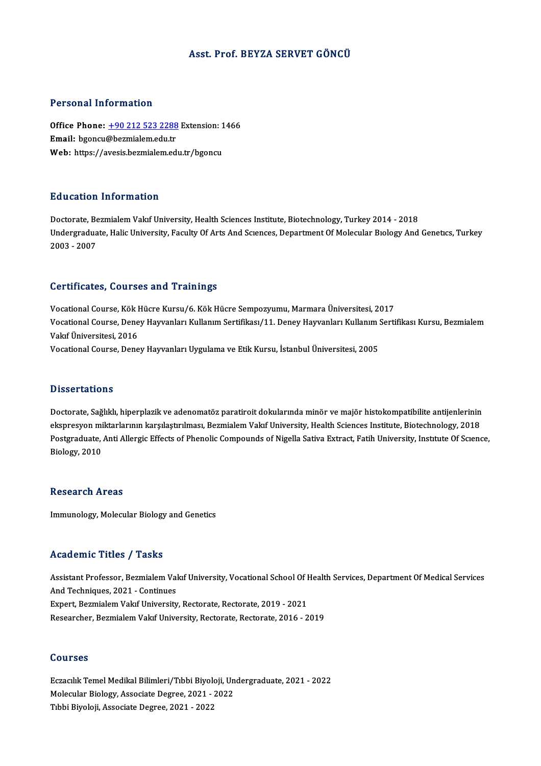### Asst. Prof. BEYZA SERVET GÖNCÜ

### Personal Information

Personal Information<br>Office Phone: <u>+90 212 523 2288</u> Extension: 1466<br>Email: bsonsu@bermialem.edu.tr Processian information<br>Office Phone: <u>+90 212 523 2288</u><br>Email: bgoncu[@bezmialem.edu.tr](tel:+90 212 523 2288) Office Phone: <u>+90 212 523 2288</u> Extension: 1<br>Email: bgoncu@bezmialem.edu.tr<br>Web: https://avesis.bezmialem.edu.tr/bgoncu Web: https://avesis.bezmialem.edu.tr/bgoncu<br>Education Information

Doctorate, Bezmialem Vakıf University, Health Sciences Institute, Biotechnology, Turkey 2014 - 2018 Du d'od'eren Timor inderon<br>Doctorate, Bezmialem Vakıf University, Health Sciences Institute, Biotechnology, Turkey 2014 - 2018<br>Undergraduate, Halic University, Faculty Of Arts And Sciences, Department Of Molecular Biology Doctorate, Be<br>Undergradua<br>2003 - 2007

# Certificates, Courses and Trainings

Vocational Course, Kök Hücre Kursu/6. Kök Hücre Sempozyumu, Marmara Üniversitesi, 2017 Oor errodeesy Godrises dira Frammiysi<br>Vocational Course, Kök Hücre Kursu/6. Kök Hücre Sempozyumu, Marmara Üniversitesi, 2017<br>Vokational Course, Deney Hayvanları Kullanım Sertifikası/11. Deney Hayvanları Kullanım Sertifikas Vocational Course, Kök I<br>Vocational Course, Dene<br>Vakıf Üniversitesi, 2016<br>Vecational Course, Dene Vocational Course, Deney Hayvanları Kullanım Sertifikası/11. Deney Hayvanları Kullanım !<br>Vakıf Üniversitesi, 2016<br>Vocational Course, Deney Hayvanları Uygulama ve Etik Kursu, İstanbul Üniversitesi, 2005 Vocational Course, Deney Hayvanları Uygulama ve Etik Kursu, İstanbul Üniversitesi, 2005<br>Dissertations

Doctorate, Sağlıklı, hiperplazik ve adenomatöz paratiroit dokularında minör ve majör histokompatibilite antijenlerinin e isseer carre ne<br>Doctorate, Sağlıklı, hiperplazik ve adenomatöz paratiroit dokularında minör ve majör histokompatibilite antijenlerinin<br>ekspresyon miktarlarının karşılaştırılması, Bezmialem Vakıf University, Health Scienc Doctorate, Sağlıklı, hiperplazik ve adenomatöz paratiroit dokularında minör ve majör histokompatibilite antijenlerinin<br>ekspresyon miktarlarının karşılaştırılması, Bezmialem Vakıf University, Health Sciences Institute, Biot ekspresyon mi<br>Postgraduate,<br>Biology, 2010 Biology, 2010<br>Research Areas

Immunology, Molecular Biology and Genetics

### Academic Titles / Tasks

Academic Titles / Tasks<br>Assistant Professor, Bezmialem Vakıf University, Vocational School Of Health Services, Department Of Medical Services<br>And Techniques, 2021, Continues And Techniques, 2021 - Continues Assistant Professor, Bezmialem Vakıf University, Vocational School Of I<br>And Techniques, 2021 - Continues<br>Expert, Bezmialem Vakıf University, Rectorate, Rectorate, 2019 - 2021<br>Besearsber, Bezmialem Vakıf University, Bestora Expert, Bezmialem Vakıf University, Rectorate, Rectorate, 2019 - 2021<br>Researcher, Bezmialem Vakıf University, Rectorate, Rectorate, 2016 - 2019

### Courses

Courses<br>Eczacılık Temel Medikal Bilimleri/Tıbbi Biyoloji, Undergraduate, 2021 - 2022<br>Melegylar Biology, Assesiste Degree, 2021, 2022 SSATSSS<br>Eczacılık Temel Medikal Bilimleri/Tıbbi Biyoloji, Un<br>Molecular Biology, Associate Degree, 2021 - 2022<br>Tıbbi Biyoloji, Associate Degree, 2021 - 2022 Eczacılık Temel Medikal Bilimleri/Tıbbi Biyol<br>Molecular Biology, Associate Degree, 2021 -<br>Tıbbi Biyoloji, Associate Degree, 2021 - 2022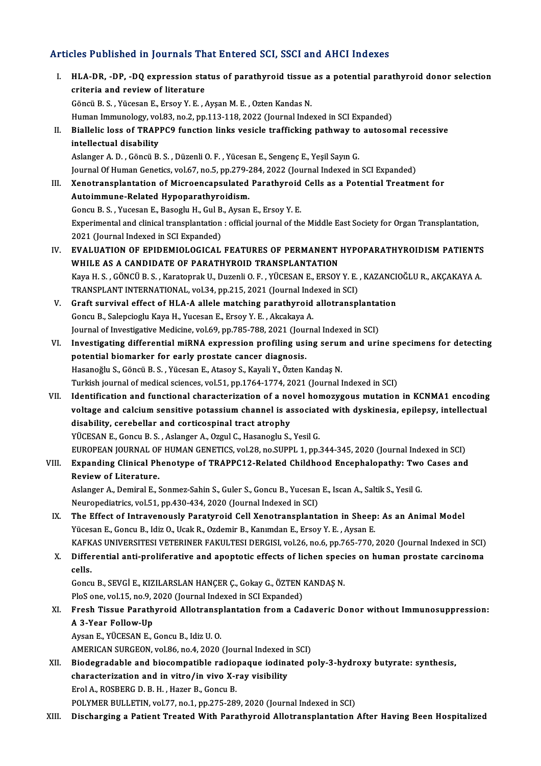### Articles Published in Journals That Entered SCI, SSCI and AHCI Indexes

- rticles Published in Journals That Entered SCI, SSCI and AHCI Indexes<br>I. HLA-DR, -DP, -DQ expression status of parathyroid tissue as a potential parathyroid donor selection<br>exitoria and review of literature criteria and review of literature<br>criteria and review of literature<br>Cangu B.S., Vuccan E. Freeu V.E. criteria and review of literature<br>Göncü B.S., Yücesan E., Ersoy Y. E., Ayşan M. E., Ozten Kandas N. Human Immunology, vol.83, no.2, pp.113-118, 2022 (Journal Indexed in SCI Expanded) Göncü B. S. , Yücesan E., Ersoy Y. E. , Ayşan M. E. , Ozten Kandas N.<br>Human Immunology, vol.83, no.2, pp.113-118, 2022 (Journal Indexed in SCI Expanded)<br>II. Biallelic loss of TRAPPC9 function links vesicle trafficking path Human Immunology, vol<br>Biallelic loss of TRAP<br>intellectual disability<br>Aslanger A. D. Göngü B intellectual disability<br>Aslanger A. D. , Göncü B. S. , Düzenli O. F. , Yücesan E., Sengenç E., Yeşil Sayın G. Journal Of Human Genetics, vol.67, no.5, pp.279-284, 2022 (Journal Indexed in SCI Expanded) Aslanger A. D. , Göncü B. S. , Düzenli O. F. , Yücesan E., Sengenç E., Yeşil Sayın G.<br>Journal Of Human Genetics, vol.67, no.5, pp.279-284, 2022 (Journal Indexed in SCI Expanded)<br>III. Xenotransplantation of Microencapsu Journal Of Human Genetics, vol.67, no.5, pp.279-2<br>Xenotransplantation of Microencapsulated<br>Autoimmune-Related Hypoparathyroidism.<br>Congu B.S., Yusssan E. Basaghu H. Cul B. Avsan Xenotransplantation of Microencapsulated Parathyroid<br>Autoimmune-Related Hypoparathyroidism.<br>Goncu B. S. , Yucesan E., Basoglu H., Gul B., Aysan E., Ersoy Y. E.<br>Experimental and clinical transplantation : official journal o Autoimmune-Related Hypoparathyroidism.<br>Goncu B. S. , Yucesan E., Basoglu H., Gul B., Aysan E., Ersoy Y. E.<br>Experimental and clinical transplantation : official journal of the Middle East Society for Organ Transplantation,<br> Goncu B. S. , Yucesan E., Basoglu H., Gul B<br>Experimental and clinical transplantation<br>2021 (Journal Indexed in SCI Expanded)<br>EVALUATION OF ERIDEMIOLOCICAL Experimental and clinical transplantation : official journal of the Middle East Society for Organ Transplantation,<br>2021 (Journal Indexed in SCI Expanded)<br>IV. EVALUATION OF EPIDEMIOLOGICAL FEATURES OF PERMANENT HYPOPARATHYR 2021 (Journal Indexed in SCI Expanded)<br>IV. EVALUATION OF EPIDEMIOLOGICAL FEATURES OF PERMANENT HYPOPARATHYROIDISM PATIENTS<br>WHILE AS A CANDIDATE OF PARATHYROID TRANSPLANTATION EVALUATION OF EPIDEMIOLOGICAL FEATURES OF PERMANENT HYPOPARATHYROIDISM PATIENTS<br>WHILE AS A CANDIDATE OF PARATHYROID TRANSPLANTATION<br>Kaya H. S. , GÖNCÜ B. S. , Karatoprak U., Duzenli O. F. , YÜCESAN E., ERSOY Y. E. , KAZANC WHILE AS A CANDIDATE OF PARATHYROID TRANSPLANTATION<br>Kaya H. S., GÖNCÜ B. S., Karatoprak U., Duzenli O. F., YÜCESAN E., ERSOY Y. E.<br>TRANSPLANT INTERNATIONAL, vol.34, pp.215, 2021 (Journal Indexed in SCI)<br>Creft survival offe Kaya H. S., GÖNCÜ B. S., Karatoprak U., Duzenli O. F., YÜCESAN E., ERSOY Y. E., KAZANCI<br>TRANSPLANT INTERNATIONAL, vol.34, pp.215, 2021 (Journal Indexed in SCI)<br>V. Graft survival effect of HLA-A allele matching parathyroid TRANSPLANT INTERNATIONAL, vol.34, pp.215, 2021 (Journal Indeptate Survival effect of HLA-A allele matching parathyroid<br>Goncu B., Salepcioglu Kaya H., Yucesan E., Ersoy Y. E. , Akcakaya A.<br>Journal of Investigative Medisine, Graft survival effect of HLA-A allele matching parathyroid allotransplantat<br>Goncu B., Salepcioglu Kaya H., Yucesan E., Ersoy Y. E. , Akcakaya A.<br>Journal of Investigative Medicine, vol.69, pp.785-788, 2021 (Journal Indexed Goncu B., Salepcioglu Kaya H., Yucesan E., Ersoy Y. E. , Akcakaya A.<br>Journal of Investigative Medicine, vol.69, pp.785-788, 2021 (Journal Indexed in SCI)<br>VI. Investigating differential miRNA expression profiling using seru Journal of Investigative Medicine, vol.69, pp.785-788, 2021 (Journ<br>Investigating differential miRNA expression profiling usi<br>potential biomarker for early prostate cancer diagnosis.<br>Hesanoğlu S. Cönsü B. S. Vüsesen E. Atea Investigating differential miRNA expression profiling using serun<br>potential biomarker for early prostate cancer diagnosis.<br>Hasanoğlu S., Göncü B. S. , Yücesan E., Atasoy S., Kayali Y., Özten Kandaş N.<br>Turkish journal of mo potential biomarker for early prostate cancer diagnosis.<br>Hasanoğlu S., Göncü B. S. , Yücesan E., Atasoy S., Kayali Y., Özten Kandaş N.<br>Turkish journal of medical sciences, vol.51, pp.1764-1774, 2021 (Journal Indexed in SCI Hasanoğlu S., Göncü B. S. , Yücesan E., Atasoy S., Kayali Y., Özten Kandaş N.<br>Turkish journal of medical sciences, vol.51, pp.1764-1774, 2021 (Journal Indexed in SCI)<br>VII. Identification and functional characterization of Turkish journal of medical sciences, vol.51, pp.1764-1774, 2021 (Journal Indexed in SCI)<br>Identification and functional characterization of a novel homozygous mutation in KCNMA1 encoding<br>voltage and calcium sensitive potass Identification and functional characterization of a no<br>voltage and calcium sensitive potassium channel is as<br>disability, cerebellar and corticospinal tract atrophy<br>vücksAN E. Consu B. S., Aslanger A. Ozsul C. Hasanoslu S. voltage and calcium sensitive potassium channel is associated with dyskinesia, epilepsy, intellectual disability, cerebellar and corticospinal tract atrophy<br>YÜCESAN E., Goncu B. S. , Aslanger A., Ozgul C., Hasanoglu S., Ye disability, cerebellar and corticospinal tract atrophy<br>YÜCESAN E., Goncu B. S. , Aslanger A., Ozgul C., Hasanoglu S., Yesil G.<br>EUROPEAN JOURNAL OF HUMAN GENETICS, vol.28, no.SUPPL 1, pp.344-345, 2020 (Journal Indexed in SC YÜCESAN E., Goncu B. S. , Aslanger A., Ozgul C., Hasanoglu S., Yesil G.<br>EUROPEAN JOURNAL OF HUMAN GENETICS, vol.28, no.SUPPL 1, pp.344-345, 2020 (Journal Indexed in SCI)<br>VIII. Expanding Clinical Phenotype of TRAPPC12-Relat EUROPEAN JOURNAL OF<br>Expanding Clinical Ph<br>Review of Literature. Expanding Clinical Phenotype of TRAPPC12-Related Childhood Encephalopathy: Two<br>Review of Literature.<br>Aslanger A., Demiral E., Sonmez-Sahin S., Guler S., Goncu B., Yucesan E., Iscan A., Saltik S., Yesil G.<br>Nauronedistries v Review of Literature.<br>Aslanger A., Demiral E., Sonmez-Sahin S., Guler S., Goncu B., Yucesan E., Iscan A., Saltik S., Yesil G.<br>Neuropediatrics, vol.51, pp.430-434, 2020 (Journal Indexed in SCI) Aslanger A., Demiral E., Sonmez-Sahin S., Guler S., Goncu B., Yucesan E., Iscan A., Saltik S., Yesil G.<br>Neuropediatrics, vol.51, pp.430-434, 2020 (Journal Indexed in SCI)<br>IX. The Effect of Intravenously Paratyroid Cell Xen Neuropediatrics, vol.51, pp.430-434, 2020 (Journal Indexed in SCI)<br>The Effect of Intravenously Paratyroid Cell Xenotransplantation in Sheep<br>Yücesan E., Goncu B., Idiz O., Ucak R., Ozdemir B., Kanımdan E., Ersoy Y. E. , Ays The Effect of Intravenously Paratyroid Cell Xenotransplantation in Sheep: As an Animal Model<br>Yücesan E., Goncu B., Idiz O., Ucak R., Ozdemir B., Kanımdan E., Ersoy Y. E. , Aysan E.<br>KAFKAS UNIVERSITESI VETERINER FAKULTESI D Yücesan E., Goncu B., Idiz O., Ucak R., Ozdemir B., Kanımdan E., Ersoy Y. E. , Aysan E.<br>KAFKAS UNIVERSITESI VETERINER FAKULTESI DERGISI, vol.26, no.6, pp.765-770, 2020 (Journal Indexed in SCI)<br>X. Differential anti-prol KAFK<br>Differ<br>cells. Differential anti-proliferative and apoptotic effects of lichen speci<br>cells.<br>Goncu B., SEVGİ E., KIZILARSLAN HANÇER Ç., Gokay G., ÖZTEN KANDAŞ N.<br>PlaS ana val 15. na 0.2020 (Jaurnal Indaved in SCI Evnanded). cells.<br>Goncu B., SEVGİ E., KIZILARSLAN HANÇER Ç., Gokay G., ÖZTEN I<br>PloS one, vol.15, no.9, 2020 (Journal Indexed in SCI Expanded)<br>Fresh Tissue Barathureid, Alletransplantation from a *Co* Goncu B., SEVGİ E., KIZILARSLAN HANÇER Ç., Gokay G., ÖZTEN KANDAŞ N.<br>PloS one, vol.15, no.9, 2020 (Journal Indexed in SCI Expanded)<br>XI. Fresh Tissue Parathyroid Allotransplantation from a Cadaveric Donor without Immunosupp PloS one, vol.15, no.9, 2020 (Journal Indexed in SCI Expanded)<br>Fresh Tissue Parathyroid Allotransplantation from a Ca<br>A 3-Year Follow-Up<br>Aysan E., YÜCESAN E., Goncu B., Idiz U. O. Fresh Tissue Parathyroid Allotransp<br>A 3-Year Follow-Up<br>Aysan E., YÜCESAN E., Goncu B., Idiz U. O.<br>AMERICAN SUPCEON vol 96 no 4, 2020. A 3-Year Follow-Up<br>Aysan E., YÜCESAN E., Goncu B., Idiz U. O.<br>AMERICAN SURGEON, vol.86, no.4, 2020 (Journal Indexed in SCI)<br>Piodegradable and biogemnatible radionague indinated n Aysan E., YÜCESAN E., Goncu B., Idiz U. O.<br>AMERICAN SURGEON, vol.86, no.4, 2020 (Journal Indexed in SCI)<br>XII. Biodegradable and biocompatible radiopaque iodinated poly-3-hydroxy butyrate: synthesis,<br>characterization and in AMERICAN SURGEON, vol.86, no.4, 2020 (Journal Indexed in<br>Biodegradable and biocompatible radiopaque iodina<br>characterization and in vitro/in vivo X-ray visibility<br>Frel A. BOSPEPC D. B. H. Harer B. Congu P. Biodegradable and biocompatible radio<br>characterization and in vitro/in vivo X-r<br>Erol A., ROSBERG D. B. H. , Hazer B., Goncu B.<br>POLYMER PULLETIN, vol 77, no 1, np 375, 286 characterization and in vitro/in vivo X-ray visibility<br>Erol A., ROSBERG D. B. H. , Hazer B., Goncu B.<br>POLYMER BULLETIN, vol.77, no.1, pp.275-289, 2020 (Journal Indexed in SCI)
- XIII. Discharging a Patient Treated With Parathyroid Allotransplantation After Having Been Hospitalized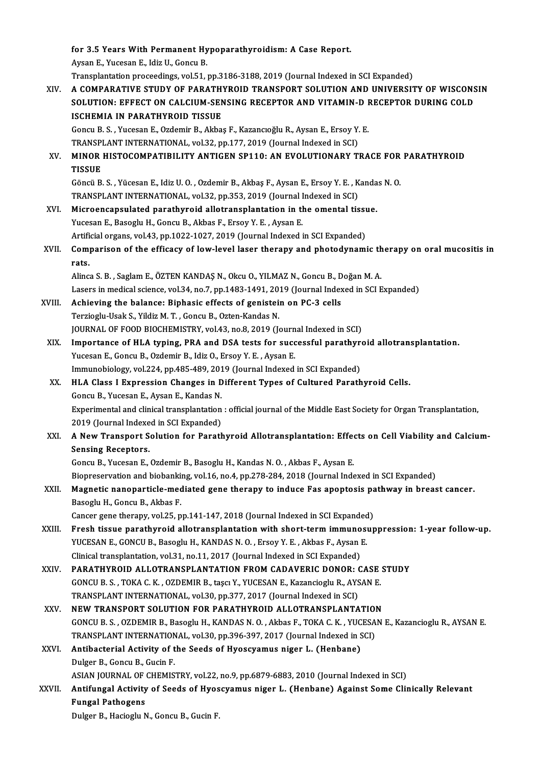for 3.5 Years With Permanent Hypoparathyroidism: A Case Report.<br>Aveap E. Yusseap E. Idia II, Copey B. **for 3.5 Years With Permanent Hy<br>Aysan E., Yucesan E., Idiz U., Goncu B.<br>Traneplantation preceedings, wel 51, .** Aysan E., Yucesan E., Idiz U., Goncu B.<br>Transplantation proceedings, vol.51, pp.3186-3188, 2019 (Journal Indexed in SCI Expanded) Aysan E., Yucesan E., Idiz U., Goncu B.<br>Transplantation proceedings, vol.51, pp.3186-3188, 2019 (Journal Indexed in SCI Expanded)<br>XIV. A COMPARATIVE STUDY OF PARATHYROID TRANSPORT SOLUTION AND UNIVERSITY OF WISCONSIN<br>S Transplantation proceedings, vol.51, pp.3186-3188, 2019 (Journal Indexed in SCI Expanded)<br>A COMPARATIVE STUDY OF PARATHYROID TRANSPORT SOLUTION AND UNIVERSITY OF WISCONS<br>SOLUTION: EFFECT ON CALCIUM-SENSING RECEPTOR AND VIT A COMPARATIVE STUDY OF PARATH<br>SOLUTION: EFFECT ON CALCIUM-SEN<br>ISCHEMIA IN PARATHYROID TISSUE<br>Congu B.S., Vusssan E. Ordamir B. Akha SOLUTION: EFFECT ON CALCIUM-SENSING RECEPTOR AND VITAMIN-D I<br>ISCHEMIA IN PARATHYROID TISSUE<br>Goncu B. S. , Yucesan E., Ozdemir B., Akbaş F., Kazancıoğlu R., Aysan E., Ersoy Y. E.<br>TRANSPLANT INTERNATIONAL .vol 33. np.177, 30 ISCHEMIA IN PARATHYROID TISSUE<br>Goncu B. S. , Yucesan E., Ozdemir B., Akbaş F., Kazancıoğlu R., Aysan E., Ersoy Y.<br>TRANSPLANT INTERNATIONAL, vol.32, pp.177, 2019 (Journal Indexed in SCI)<br>MINOR HISTOCOMRATIBILITY ANTICEN SP1 XV. MINOR HISTOCOMPATIBILITY ANTIGEN SP110: AN EVOLUTIONARY TRACE FOR PARATHYROID TRANSPLANT INTERNATIONAL, vol.32, pp.177, 2019 (Journal Indexed in SCI) MINOR HISTOCOMPATIBILITY ANTIGEN SP110: AN EVOLUTIONARY TRACE FOR<br>TISSUE<br>Göncü B. S. , Yücesan E., Idiz U. O. , Ozdemir B., Akbaş F., Aysan E., Ersoy Y. E. , Kandas N. O.<br>TRANSPLANT INTERNATIONAL .vol 32. np. 352–2019 (Jou TISSUE<br>Göncü B. S. , Yücesan E., Idiz U. O. , Ozdemir B., Akbaş F., Aysan E., Ersoy Y. E. , K<br>TRANSPLANT INTERNATIONAL, vol.32, pp.353, 2019 (Journal Indexed in SCI)<br>Misroensensulated narathureid alletransplantation in the Göncü B. S. , Yücesan E., Idiz U. O. , Ozdemir B., Akbaş F., Aysan E., Ersoy Y. E. , Kanda<br>TRANSPLANT INTERNATIONAL, vol.32, pp.353, 2019 (Journal Indexed in SCI)<br>XVI. Microencapsulated parathyroid allotransplantation in t TRANSPLANT INTERNATIONAL, vol.32, pp.353, 2019 (Journal Indexed in SCI)<br>Microencapsulated parathyroid allotransplantation in the omental tissue.<br>Yucesan E., Basoglu H., Goncu B., Akbas F., Ersoy Y. E. , Aysan E. Microencapsulated parathyroid allotransplantation in the omental tissu<br>Yucesan E., Basoglu H., Goncu B., Akbas F., Ersoy Y. E. , Aysan E.<br>Artificial organs, vol.43, pp.1022-1027, 2019 (Journal Indexed in SCI Expanded)<br>Comp Yucesan E., Basoglu H., Goncu B., Akbas F., Ersoy Y. E. , Aysan E.<br>Artificial organs, vol.43, pp.1022-1027, 2019 (Journal Indexed in SCI Expanded)<br>XVII. Comparison of the efficacy of low-level laser therapy and photodynami Artifi<br>Com<sub>l</sub><br>rats Comparison of the efficacy of low-level laser therapy and photodynamic th<br>rats.<br>Alinca S.B. , Saglam E., ÖZTEN KANDAŞ N., Okcu O., YILMAZ N., Goncu B., Doğan M. A.<br>Lasers in medical science, yal 24, no 7, nn 1482-1401-2010 rats.<br>Alinca S. B. , Saglam E., ÖZTEN KANDAŞ N., Okcu O., YILMAZ N., Goncu B., Doğan M. A.<br>Lasers in medical science, vol.34, no.7, pp.1483-1491, 2019 (Journal Indexed in SCI Expanded)<br>Achieving the balance: Binhagia effec Alinca S. B., Saglam E., ÖZTEN KANDAŞ N., Okcu O., YILMAZ N., Goncu B., D<br>Lasers in medical science, vol.34, no.7, pp.1483-1491, 2019 (Journal Index<br>XVIII. Achieving the balance: Biphasic effects of genistein on PC-3 cells Lasers in medical science, vol.34, no.7, pp.1483-1491, 20<br>Achieving the balance: Biphasic effects of genistei:<br>Terzioglu-Usak S., Yildiz M. T. , Goncu B., Ozten-Kandas N.<br>JOUPMAL OF FOOD PJOCHEMISTPV, vol.43, no.8, 2019 (L Achieving the balance: Biphasic effects of genistein on PC-3 cells<br>Terzioglu-Usak S., Yildiz M. T. , Goncu B., Ozten-Kandas N.<br>JOURNAL OF FOOD BIOCHEMISTRY, vol.43, no.8, 2019 (Journal Indexed in SCI)<br>Importance of HJ A ty Terzioglu-Usak S., Yildiz M. T. , Goncu B., Ozten-Kandas N.<br>JOURNAL OF FOOD BIOCHEMISTRY, vol.43, no.8, 2019 (Journal Indexed in SCI)<br>XIX. Importance of HLA typing, PRA and DSA tests for successful parathyroid allotranspla JOURNAL OF FOOD BIOCHEMISTRY, vol.43, no.8, 2019 (Journ<br>Importance of HLA typing, PRA and DSA tests for succ<br>Yucesan E., Goncu B., Ozdemir B., Idiz O., Ersoy Y. E. , Aysan E.<br>Immunobiology vol.224, np.485, 489, 2019 (Journ Importance of HLA typing, PRA and DSA tests for successful parathyre<br>Yucesan E., Goncu B., Ozdemir B., Idiz O., Ersoy Y. E. , Aysan E.<br>Immunobiology, vol.224, pp.485-489, 2019 (Journal Indexed in SCI Expanded)<br>HJ A Class J Yucesan E., Goncu B., Ozdemir B., Idiz O., Ersoy Y. E. , Aysan E.<br>Immunobiology, vol.224, pp.485-489, 2019 (Journal Indexed in SCI Expanded)<br>XX. HLA Class I Expression Changes in Different Types of Cultured Parathyroid Cel Immunobiology, vol.224, pp.485-489, 2019 (Journal Indexed in SCI Expanded) Experimental and clinical transplantation: official journal of the Middle East Society for Organ Transplantation, Goncu B., Yucesan E., Aysan E., Kandas N.<br>Experimental and clinical transplantation<br>2019 (Journal Indexed in SCI Expanded)<br>A Now Transport Solution for Porath XXI. A New Transport Solution for Parathyroid Allotransplantation: Effects on Cell Viability and Calcium-<br>Sensing Receptors. 2019 (Journal Indexe<br>A New Transport S<br>Sensing Receptors.<br>Congu B. Vussen E GoncuB.,YucesanE.,OzdemirB.,BasogluH.,KandasN.O. ,Akbas F.,AysanE. Biopreservation and biobanking, vol.16, no.4, pp.278-284, 2018 (Journal Indexed in SCI Expanded) Goncu B., Yucesan E., Ozdemir B., Basoglu H., Kandas N. O. , Akbas F., Aysan E.<br>Biopreservation and biobanking, vol.16, no.4, pp.278-284, 2018 (Journal Indexed in SCI Expanded)<br>XXII. Magnetic nanoparticle-mediated gene the Biopreservation and biobanki<br>Magnetic nanoparticle-mec<br>Basoglu H., Goncu B., Akbas F.<br>Cangar gang tharany, yol 25, n Magnetic nanoparticle-mediated gene therapy to induce Fas apoptosis pa<br>Basoglu H., Goncu B., Akbas F.<br>Cancer gene therapy, vol.25, pp.141-147, 2018 (Journal Indexed in SCI Expanded)<br>Fresh tissue persthureid alletraperlanta Basoglu H., Goncu B., Akbas F.<br>Cancer gene therapy, vol.25, pp.141-147, 2018 (Journal Indexed in SCI Expanded)<br>XXIII. Fresh tissue parathyroid allotransplantation with short-term immunosuppression: 1-year follow-up. YUCESAN E., GONCU B., Basoglu H., KANDAS N. O., Ersoy Y. E., Akbas F., Aysan E. Fresh tissue parathyroid allotransplantation with short-term immuno<br>YUCESAN E., GONCU B., Basoglu H., KANDAS N. O. , Ersoy Y. E. , Akbas F., Aysan l<br>Clinical transplantation, vol.31, no.11, 2017 (Journal Indexed in SCI Exp YUCESAN E., GONCU B., Basoglu H., KANDAS N. O., Ersoy Y. E., Akbas F., Aysan E.<br>Clinical transplantation, vol.31, no.11, 2017 (Journal Indexed in SCI Expanded)<br>XXIV. PARATHYROID ALLOTRANSPLANTATION FROM CADAVERIC DONOR: CA Clinical transplantation, vol.31, no.11, 2017 (Journal Indexed in SCI Expanded)<br>PARATHYROID ALLOTRANSPLANTATION FROM CADAVERIC DONOR: CASE<br>GONCU B. S., TOKA C. K., OZDEMIR B., taşcı Y., YUCESAN E., Kazancioglu R., AYSAN E. PARATHYROID ALLOTRANSPLANTATION FROM CADAVERIC DONOR: CASE STUDY<br>GONCU B. S., TOKA C. K., OZDEMIR B., taşcı Y., YUCESAN E., Kazancioglu R., AYSAN E.<br>TRANSPLANT INTERNATIONAL, vol.30, pp.377, 2017 (Journal Indexed in SCI) GONCU B. S., TOKA C. K., OZDEMIR B., taşcı Y., YUCESAN E., Kazancioglu R., AYSAN E.<br>TRANSPLANT INTERNATIONAL, vol.30, pp.377, 2017 (Journal Indexed in SCI)<br>XXV. NEW TRANSPORT SOLUTION FOR PARATHYROID ALLOTRANSPLANTATION<br>CO TRANSPLANT INTERNATIONAL, vol.30, pp.377, 2017 (Journal Indexed in SCI)<br>NEW TRANSPORT SOLUTION FOR PARATHYROID ALLOTRANSPLANTATION<br>GONCU B. S. , OZDEMIR B., Basoglu H., KANDAS N. O. , Akbas F., TOKA C. K. , YUCESAN E., Kaz NEW TRANSPORT SOLUTION FOR PARATHYROID ALLOTRANSPLANTATION<br>GONCU B. S., OZDEMIR B., Basoglu H., KANDAS N. O., Akbas F., TOKA C. K., YUCESA<br>TRANSPLANT INTERNATIONAL, vol.30, pp.396-397, 2017 (Journal Indexed in SCI)<br>Antibac GONCU B. S. , OZDEMIR B., Basoglu H., KANDAS N. O. , Akbas F., TOKA C. K. , YUC<br>TRANSPLANT INTERNATIONAL, vol.30, pp.396-397, 2017 (Journal Indexed in SXVI.<br>XXVI. Antibacterial Activity of the Seeds of Hyoscyamus niger L. TRANSPLANT INTERNATIONAL, vol.30, pp.396-397, 2017 (Journal Indexed in SCI)<br>Antibacterial Activity of the Seeds of Hyoscyamus niger L. (Henbane)<br>Dulger B., Goncu B., Gucin F. Antibacterial Activity of the Seeds of Hyoscyamus niger L. (Henbane)<br>Dulger B., Goncu B., Gucin F.<br>ASIAN JOURNAL OF CHEMISTRY, vol.22, no.9, pp.6879-6883, 2010 (Journal Indexed in SCI)<br>Antifungal Activity of Seeds of Hyosc XXVII. Antifungal Activity of Seeds of Hyoscyamus niger L. (Henbane) Against Some Clinically Relevant<br>Fungal Pathogens ASIAN JOURNAL OF<br>Antifungal Activity<br>Fungal Pathogens<br>Pulgar B. Hagisglu A

Dulger B., Hacioglu N., Goncu B., Gucin F.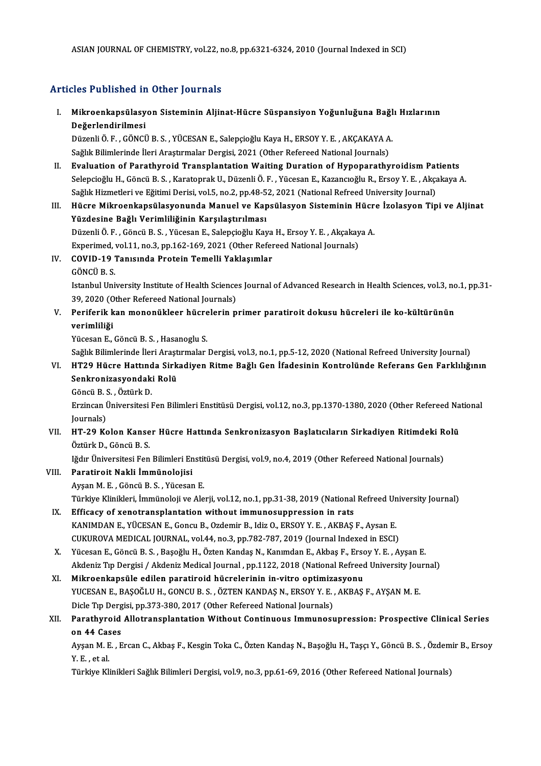### Articles Published in Other Journals

rticles Published in Other Journals<br>I. Mikroenkapsülasyon Sisteminin Aljinat-Hücre Süspansiyon Yoğunluğuna Bağlı Hızlarının<br>Değerlendirilmesi nse i asistoa il.<br>Mikroenkapsülasy<br>Değerlendirilmesi Mikroenkapsülasyon Sisteminin Aljinat-Hücre Süspansiyon Yoğunluğuna Bağl<br>Değerlendirilmesi<br>Düzenli Ö.F., GÖNCÜ B.S., YÜCESAN E., Salepçioğlu Kaya H., ERSOY Y. E. , AKÇAKAYA A.<br>Sağlık Bilimlerinde İleri Arastırmalar Dergisi

<mark>Değerlendirilmesi</mark><br>Düzenli Ö. F. , GÖNCÜ B. S. , YÜCESAN E., Salepçioğlu Kaya H., ERSOY Y. E. , AKÇAKAYA A<br>Sağlık Bilimlerinde İleri Araştırmalar Dergisi, 2021 (Other Refereed National Journals)<br>Fyaluation of Barathyroid

- Sağlık Bilimlerinde İleri Araştırmalar Dergisi, 2021 (Other Refereed National Journals)<br>II. Evaluation of Parathyroid Transplantation Waiting Duration of Hypoparathyroidism Patients Selepcioğlu H., Göncü B.S., Karatoprak U., Düzenli Ö. F., Yücesan E., Kazancıoğlu R., Ersoy Y. E., Akçakaya A. Evaluation of Parathyroid Transplantation Waiting Duration of Hypoparathyroidism Pat<br>Selepcioğlu H., Göncü B. S. , Karatoprak U., Düzenli Ö. F. , Yücesan E., Kazancıoğlu R., Ersoy Y. E. , Akça<br>Sağlık Hizmetleri ve Eğitimi Selepcioğlu H., Göncü B. S. , Karatoprak U., Düzenli Ö. F. , Yücesan E., Kazancıoğlu R., Ersoy Y. E. , Akçakaya A.<br>Sağlık Hizmetleri ve Eğitimi Derisi, vol.5, no.2, pp.48-52, 2021 (National Refreed University Journal)<br>III.
- Sağlık Hizmetleri ve Eğitimi Derisi, vol.5, no.2, pp.48-5<br>Hücre Mikroenkapsülasyonunda Manuel ve Kap<br>Yüzdesine Bağlı Verimliliğinin Karşılaştırılması<br>Düzenli Ö.F., Cângü B.S., Vüsesen E. Salangieğlu Kay Hücre Mikroenkapsülasyonunda Manuel ve Kapsülasyon Sisteminin Hücr<br>Yüzdesine Bağlı Verimliliğinin Karşılaştırılması<br>Düzenli Ö. F. , Göncü B. S. , Yücesan E., Salepçioğlu Kaya H., Ersoy Y. E. , Akçakaya A.<br>Evnerimed vel 11. Yüzdesine Bağlı Verimliliğinin Karşılaştırılması<br>Düzenli Ö. F. , Göncü B. S. , Yücesan E., Salepçioğlu Kaya H., Ersoy Y. E. , Akçakaya A.<br>Experimed, vol.11, no.3, pp.162-169, 2021 (Other Refereed National Journals) Düzenli Ö. F. , Göncü B. S. , Yücesan E., Salepçioğlu Kaya<br>Experimed, vol.11, no.3, pp.162-169, 2021 (Other Refer<br>IV. COVID-19 Tanısında Protein Temelli Yaklaşımlar

# Experimed,<br>COVID-19<br>GÖNCÜ B. S.<br>Istanbul Uni

GÖNCÜ B. S.<br>Istanbul University Institute of Health Sciences Journal of Advanced Research in Health Sciences, vol.3, no.1, pp.31-GÖNCÜ B. S.<br>Istanbul University Institute of Health Science<br>39, 2020 (Other Refereed National Journals)<br>Periferik kan mononükleer büsrelerin n

## V. Periferik kan mononükleer hücrelerin primer paratiroit dokusu hücreleri ile ko-kültürünün verimliliği 39, 2020 (O<br>Periferik k<br>verimliliği<br><sup>Vücesan F</sup> verimliliği<br>Yücesan E., Göncü B. S. , Hasanoglu S.<br>Sağlık Bilimlerinde İleri Araştırmalar Dergisi, vol.3, no.1, pp.5-12, 2020 (National Refreed University Journal)<br>HT20 Hüsre Hattında Sirkadiyan Bitme Bağlı Can İfadesinin

Yücesan E., Göncü B. S., Hasanoglu S.

VI. HT29 Hücre Hattında Sirkadiyen Ritme Bağlı Gen İfadesinin Kontrolünde Referans Gen Farklılığının Sağlık Bilimlerinde İleri Araşt<br>HT29 Hücre Hattında Sirk<br>Senkronizasyondaki Rolü<br>Göngü B.S., Östürk D HT29 Hücre Hattınd<br>Senkronizasyondak<br>Göncü B.S., Öztürk D.<br>Ergincen Üniversitesi I

Erzincan Üniversitesi Fen Bilimleri Enstitüsü Dergisi, vol.12, no.3, pp.1370-1380, 2020 (Other Refereed National Iournals) Göncü B. S<br>Erzincan (Journals)<br>UT 29 Ke Erzincan Üniversitesi Fen Bilimleri Enstitüsü Dergisi, vol.12, no.3, pp.1370-1380, 2020 (Other Refereed Na<br>Journals)<br>VII. HT-29 Kolon Kanser Hücre Hattında Senkronizasyon Başlatıcıların Sirkadiyen Ritimdeki Rolü<br>Östürk

# Journals)<br><mark>HT-29 Kolon Kanse</mark><br>Öztürk D., Göncü B. S.<br><sup>Lğdın Üniversitesi Fen</sup> HT-29 Kolon Kanser Hücre Hattında Senkronizasyon Başlatıcıların Sirkadiyen Ritimdeki R<br>Öztürk D., Göncü B. S.<br>Iğdır Üniversitesi Fen Bilimleri Enstitüsü Dergisi, vol.9, no.4, 2019 (Other Refereed National Journals)<br>Perstin

Öztürk D., Göncü B. S.<br>Iğdır Üniversitesi Fen Bilimleri Enstitüsü Dergisi, vol.9, no.4, 2019 (Other Refereed National Journals)<br>VIII. Paratiroit Nakli İmmünolojisi

AyşanM.E. ,GöncüB.S. ,YücesanE. Paratiroit Nakli İmmünolojisi<br>Ayşan M. E. , Göncü B. S. , Yücesan E.<br>Türkiye Klinikleri, İmmünoloji ve Alerji, vol.12, no.1, pp.31-38, 2019 (National Refreed University Journal)<br>Efficesu of venetraneplantation without immu

- IX. Efficacy of xenotransplantation without immunosuppression in rats<br>KANIMDAN E., YÜCESAN E., Goncu B., Ozdemir B., Idiz O., ERSOY Y. E., AKBAŞ F., Aysan E. Türkiye Klinikleri, İmmünoloji ve Alerji, vol.12, no.1, pp.31-38, 2019 (National Refreed Ur<br>Efficacy of xenotransplantation without immunosuppression in rats<br>KANIMDAN E., YÜCESAN E., Goncu B., Ozdemir B., Idiz O., ERSOY Y. CUKUROVAMEDICAL JOURNAL,vol.44,no.3,pp.782-787,2019 (Journal Indexed inESCI) KANIMDAN E., YÜCESAN E., Goncu B., Ozdemir B., Idiz O., ERSOY Y. E. , AKBAŞ F., Aysan E.<br>CUKUROVA MEDICAL JOURNAL, vol.44, no.3, pp.782-787, 2019 (Journal Indexed in ESCI)<br>X. Yücesan E., Göncü B. S. , Başoğlu H., Özten Kan
- CUKUROVA MEDICAL JOURNAL, vol.44, no.3, pp.782-787, 2019 (Journal Indexed in ESCI)<br>Yücesan E., Göncü B. S. , Başoğlu H., Özten Kandaş N., Kanımdan E., Akbaş F., Ersoy Y. E. , Ayşan E.<br>Akdeniz Tıp Dergisi / Akdeniz Medical X. Yücesan E., Göncü B. S. , Başoğlu H., Özten Kandaş N., Kanımdan E., Akbaş F., Erso<br>Akdeniz Tıp Dergisi / Akdeniz Medical Journal , pp.1122, 2018 (National Refreed<br>XI. Mikroenkapsüle edilen paratiroid hücrelerinin in-vit
- Akdeniz Tıp Dergisi / Akdeniz Medical Journal , pp.1122, 2018 (National Refreed University Jou<br>Mikroenkapsüle edilen paratiroid hücrelerinin in-vitro optimizasyonu<br>YUCESAN E., BAŞOĞLU H., GONCU B. S. , ÖZTEN KANDAŞ N., ERS XI. Mikroenkapsüle edilen paratiroid hücrelerinin in-vitro optimizasyonu<br>YUCESAN E., BAŞOĞLU H., GONCU B. S., ÖZTEN KANDAŞ N., ERSOY Y. E., AKBAŞ F., AYŞAN M. E. Dicle Tip Dergisi, pp.373-380, 2017 (Other Refereed National Journals)

## XII. Parathyroid Allotransplantation Without Continuous Immunosupression: Prospective Clinical Series<br>on 44 Cases Parathyroid Allotransplantation Without Continuous Immunosupression: Prospective Clinical Series<br>on 44 Cases<br>Ayşan M. E. , Ercan C., Akbaş F., Kesgin Toka C., Özten Kandaş N., Başoğlu H., Taşçı Y., Göncü B. S. , Özdemir B.

on 44 Cas<br>Ayşan M. E<br>Y. E. , et al.<br>Türkiye Kl Ayşan M. E. , Ercan C., Akbaş F., Kesgin Toka C., Özten Kandaş N., Başoğlu H., Taşçı Y., Göncü B. S. , Özdem<br>Y. E. , et al.<br>Türkiye Klinikleri Sağlık Bilimleri Dergisi, vol.9, no.3, pp.61-69, 2016 (Other Refereed National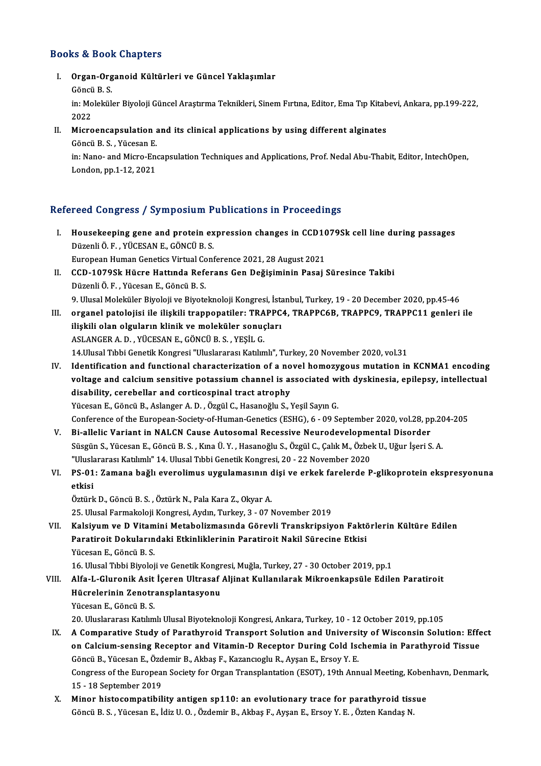### Books&Book Chapters

ooks & Book Chapters<br>I. Organ-Organoid Kültürleri ve Güncel Yaklaşımlar<br> Göngü B S to & Door<br>Organ-Org<br>Göncü B. S.<br>in: Moleküle Organ-Organoid Kültürleri ve Güncel Yaklaşımlar<br>Göncü B. S.<br>in: Moleküler Biyoloji Güncel Araştırma Teknikleri, Sinem Fırtına, Editor, Ema Tıp Kitabevi, Ankara, pp.199-222,

Göncü<br>in: Mo<br>2022<br>Miero in: Moleküler Biyoloji Güncel Araştırma Teknikleri, Sinem Fırtına, Editor, Ema Tıp Kitab<br>2022<br>II. Microencapsulation and its clinical applications by using different alginates<br>6 Sangi B. S. Vüssen F

2022<br>II. Microencapsulation and its clinical applications by using different alginates<br>Göncü B. S. , Yücesan E.

Microencapsulation and its clinical applications by using different alginates<br>Göncü B. S. , Yücesan E.<br>in: Nano- and Micro-Encapsulation Techniques and Applications, Prof. Nedal Abu-Thabit, Editor, IntechOpen,<br>London.nn.1. Göncü B. S. , Yücesan E.<br>in: Nano- and Micro-En<br>London, pp.1-12, 2021

# London, pp.1-12, 2021<br>Refereed Congress / Symposium Publications in Proceedings

- efereed Congress / Symposium Publications in Proceedings<br>I. Housekeeping gene and protein expression changes in CCD1079Sk cell line during passages<br>Dürenliğ F. VÜCESAN E. CÖNCÜ B.S. Housekeeping gene and protein ex<br>Düzenli Ö. F. , YÜCESAN E., GÖNCÜ B. S.<br>European Human Constics Virtual Cont Housekeeping gene and protein expression changes in CCD10<br>Düzenli Ö. F. , YÜCESAN E., GÖNCÜ B. S.<br>European Human Genetics Virtual Conference 2021, 28 August 2021<br>CCD 1070Sk Hügne Hattuade Beference Con Değisiminin Bessi ( Düzenli Ö. F. , YÜCESAN E., GÖNCÜ B. S.<br>European Human Genetics Virtual Conference 2021, 28 August 2021<br>II. CCD-1079Sk Hücre Hattında Referans Gen Değişiminin Pasaj Süresince Takibi<br>Düzenli Ö. E., Vücesan E. Göncü B. S
- European Human Genetics Virtual Continue CCD-1079Sk Hücre Hattında Refe<br>Düzenli Ö. F. , Yücesan E., Göncü B. S.<br>O. Ulusel Meleküler Biyeleji ve Biyeta Düzenli Ö. F. , Yücesan E., Göncü B. S.<br>9. Ulusal Moleküler Biyoloji ve Biyoteknoloji Kongresi, İstanbul, Turkey, 19 - 20 December 2020, pp.45-46
- I I. organel patolojisi ile ilişkili trappopatiler: TRAPPC4, TRAPPC6B, TRAPPC9, TRAPPC11 genleri ile 9. Ulusal Moleküler Biyoloji ve Biyoteknoloji Kongresi, İstanan olan olguların klinik ve moleküler sonuçları<br>ilişkili olan olguların klinik ve moleküler sonuçları<br>ASLANGERA D. YÜCESAN E. GÖNCÜ B.S. YESLI G. organel patolojisi ile ilişkili trappopatiler: TRA<br>ilişkili olan olguların klinik ve moleküler sonuç<br>ASLANGER A. D. , YÜCESAN E., GÖNCÜ B. S. , YEŞİL G.<br>14 Ulusal Tıbbi Censtil: Konstesi "Uluslararsa Katılın ilişkili olan olguların klinik ve moleküler sonuçları<br>ASLANGER A. D. , YÜCESAN E., GÖNCÜ B. S. , YEŞİL G.<br>14.Ulusal Tıbbi Genetik Kongresi "Uluslararası Katılımlı", Turkey, 20 November 2020, vol.31 ASLANGER A. D. , YÜCESAN E., GÖNCÜ B. S. , YEŞİL G.<br>14.Ulusal Tıbbi Genetik Kongresi "Uluslararası Katılımlı", Turkey, 20 November 2020, vol.31<br>IV. Identification and functional characterization of a novel homozygous mutat
- 14.Ulusal Tıbbi Genetik Kongresi "Uluslararası Katılımlı", Turkey, 20 November 2020, vol.31<br>Identification and functional characterization of a novel homozygous mutation in KCNMA1 encoding<br>voltage and calcium sensitive pot Identification and functional characterization of a no<br>voltage and calcium sensitive potassium channel is as<br>disability, cerebellar and corticospinal tract atrophy<br><sup>Vücccon E. Côngü B. Aslanger A. D. Özgül C. Hasanoğlu S. </sup> voltage and calcium sensitive potassium channel is associated with dyskinesia, epilepsy, intellectual<br>disability, cerebellar and corticospinal tract atrophy<br>Yücesan E., Göncü B., Aslanger A. D. , Özgül C., Hasanoğlu S., Ye Conference of the European-Society-of-Human-Genetics (ESHG), 6 - 09 September 2020, vol.28, pp.204-205 Yücesan E., Göncü B., Aslanger A. D. , Özgül C., Hasanoğlu S., Yeşil Sayın G.<br>Conference of the European-Society-of-Human-Genetics (ESHG), 6 - 09 September 2020, vol.28, pp<br>V. Bi-allelic Variant in NALCN Cause Autosomal Re
- Conference of the European-Society-of-Human-Genetics (ESHG), 6 09 September 2020, vol.28, pp.20<br>Bi-allelic Variant in NALCN Cause Autosomal Recessive Neurodevelopmental Disorder<br>Süsgün S., Yücesan E., Göncü B. S. , Kına Bi-allelic Variant in NALCN Cause Autosomal Recessive Neurodevelopme<br>Süsgün S., Yücesan E., Göncü B. S. , Kına Ü. Y. , Hasanoğlu S., Özgül C., Çalık M., Özbe<br>"Uluslararası Katılımlı" 14. Ulusal Tıbbi Genetik Kongresi, 20 -Süsgün S., Yücesan E., Göncü B. S. , Kına Ü. Y. , Hasanoğlu S., Özgül C., Çalık M., Özbek U., Uğur İşeri S. A.<br>"Uluslararası Katılımlı" 14. Ulusal Tıbbi Genetik Kongresi, 20 - 22 November 2020<br>21. PS-01: Zamana bağlı evero
- "Ulusla<br>PS-01<br>etkisi PS-01: Zamana bağlı everolimus uygulamasının d<br>etkisi<br>Öztürk D., Göncü B.S. , Öztürk N., Pala Kara Z., Okyar A.<br>25 Hlucel Fermekaleji Kargresi, Avdın Turkay 2, 07 M **etkisi**<br>Öztürk D., Göncü B. S. , Öztürk N., Pala Kara Z., Okyar A.<br>25. Ulusal Farmakoloji Kongresi, Aydın, Turkey, 3 - 07 November 2019

VII. Kalsiyum ve D Vitamini Metabolizmasında Görevli Transkripsiyon Faktörlerin Kültüre Edilen 25. Ulusal Farmakoloji Kongresi, Aydın, Turkey, 3 - 07 November 2019<br>Kalsiyum ve D Vitamini Metabolizmasında Görevli Transkripsiyon Faktö<br>Paratiroit Dokularındaki Etkinliklerinin Paratiroit Nakil Sürecine Etkisi<br><sup>Vücccon E</sup> Kalsiyum ve D Vitam<br>Paratiroit Dokuların<br>Yücesan E., Göncü B. S.<br>16 Ulucel Tıbbi Biyoloi Yücesan E., Göncü B. S.<br>16. Ulusal Tıbbi Biyoloji ve Genetik Kongresi, Muğla, Turkey, 27 - 30 October 2019, pp.1

VIII. Alfa-L-Gluronik Asit İçeren Ultrasaf Aljinat Kullanılarak Mikroenkapsüle Edilen Paratiroit 16. Ulusal Tıbbi Biyoloji ve Genetik Kongr<br>Alfa-L-Gluronik Asit İçeren Ultrasaf .<br>Hücrelerinin Zenotransplantasyonu<br><sup>Vücccon E. Cöngü B. S</sup> Alfa-L-Gluronik Asit<br>Hücrelerinin Zenotra<br>Yücesan E., Göncü B. S.<br>20 Uluslararası Katılım

20.UluslararasıKatılımlıUlusalBiyoteknolojiKongresi,Ankara,Turkey,10 -12October 2019,pp.105

- Yücesan E., Göncü B. S.<br>20. Uluslararası Katılımlı Ulusal Biyoteknoloji Kongresi, Ankara, Turkey, 10 12 October 2019, pp.105<br>1X. A Comparative Study of Parathyroid Transport Solution and University of Wisconsin Solution: 20. Uluslararası Katılımlı Ulusal Biyoteknoloji Kongresi, Ankara, Turkey, 10 - 12 October 2019, pp.105<br>A Comparative Study of Parathyroid Transport Solution and University of Wisconsin Solution: Effe<br>on Calcium-sensing Rec A Comparative Study of Parathyroid Transport Solution and Universi<br>on Calcium-sensing Receptor and Vitamin-D Receptor During Cold Ise<br>Göncü B., Yücesan E., Özdemir B., Akbaş F., Kazancıoglu R., Ayşan E., Ersoy Y. E.<br>Congre on Calcium-sensing Receptor and Vitamin-D Receptor During Cold Ischemia in Parathyroid Tissue<br>Göncü B., Yücesan E., Özdemir B., Akbaş F., Kazancıoglu R., Ayşan E., Ersoy Y. E.<br>Congress of the European Society for Organ Tra Göncü B., Yücesan E., Özd<br>Congress of the Europea<br>15 - 18 September 2019<br>Minor histosomnatibil Congress of the European Society for Organ Transplantation (ESOT), 19th Annual Meeting, Kober<br>15 - 18 September 2019<br>X. Minor histocompatibility antigen sp110: an evolutionary trace for parathyroid tissue<br>Côngi B. S. Viice
- 15 18 September 2019<br>X. Minor histocompatibility antigen sp110: an evolutionary trace for parathyroid tissue<br>Göncü B. S. , Yücesan E., İdiz U. O. , Özdemir B., Akbaş F., Ayşan E., Ersoy Y. E. , Özten Kandaş N.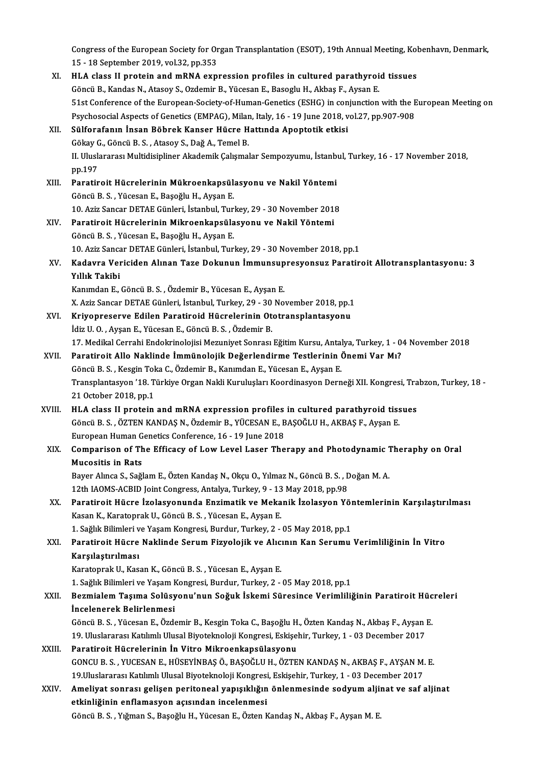Congress of the European Society for Organ Transplantation (ESOT), 19th Annual Meeting, Kobenhavn, Denmark,<br>15, 18 September 2019, vol 32, np.353 Congress of the European Society for Or<br>15 - 18 September 2019, vol.32, pp.353<br>HJ A slass II protein and mBNA sup Congress of the European Society for Organ Transplantation (ESOT), 19th Annual Meeting, Kol<br>15 - 18 September 2019, vol.32, pp.353<br>XI. HLA class II protein and mRNA expression profiles in cultured parathyroid tissues<br>Câneü 15 - 18 September 2019, vol.32, pp.353

| XI.    | HLA class II protein and mRNA expression profiles in cultured parathyroid tissues                              |
|--------|----------------------------------------------------------------------------------------------------------------|
|        | Göncü B., Kandas N., Atasoy S., Ozdemir B., Yücesan E., Basoglu H., Akbaş F., Aysan E.                         |
|        | 51st Conference of the European-Society-of-Human-Genetics (ESHG) in conjunction with the European Meeting on   |
|        | Psychosocial Aspects of Genetics (EMPAG), Milan, Italy, 16 - 19 June 2018, vol.27, pp.907-908                  |
| XII.   | Sülforafanın İnsan Böbrek Kanser Hücre Hattında Apoptotik etkisi                                               |
|        | Gökay G., Göncü B. S., Atasoy S., Dağ A., Temel B.                                                             |
|        | II. Uluslararası Multidisipliner Akademik Çalışmalar Sempozyumu, İstanbul, Turkey, 16 - 17 November 2018,      |
|        | pp.197                                                                                                         |
| XIII.  | Paratiroit Hücrelerinin Mükroenkapsülasyonu ve Nakil Yöntemi                                                   |
|        | Göncü B. S., Yücesan E., Başoğlu H., Ayşan E.                                                                  |
|        | 10. Aziz Sancar DETAE Günleri, İstanbul, Turkey, 29 - 30 November 2018                                         |
| XIV.   | Paratiroit Hücrelerinin Mikroenkapsülasyonu ve Nakil Yöntemi                                                   |
|        | Göncü B. S., Yücesan E., Başoğlu H., Ayşan E.                                                                  |
|        | 10. Aziz Sancar DETAE Günleri, İstanbul, Turkey, 29 - 30 November 2018, pp.1                                   |
| XV.    | Kadavra Vericiden Alınan Taze Dokunun İmmunsupresyonsuz Paratiroit Allotransplantasyonu: 3                     |
|        | Yıllık Takibi                                                                                                  |
|        | Kanımdan E., Göncü B. S., Özdemir B., Yücesan E., Ayşan E.                                                     |
|        | X. Aziz Sancar DETAE Günleri, İstanbul, Turkey, 29 - 30 November 2018, pp.1                                    |
| XVI.   | Kriyopreserve Edilen Paratiroid Hücrelerinin Ototransplantasyonu                                               |
|        | İdiz U.O., Ayşan E., Yücesan E., Göncü B.S., Özdemir B.                                                        |
|        | 17. Medikal Cerrahi Endokrinolojisi Mezuniyet Sonrası Eğitim Kursu, Antalya, Turkey, 1 - 04 November 2018      |
| XVII.  | Paratiroit Allo Naklinde İmmünolojik Değerlendirme Testlerinin Önemi Var Mı?                                   |
|        | Göncü B. S., Kesgin Toka C., Özdemir B., Kanımdan E., Yücesan E., Ayşan E.                                     |
|        | Transplantasyon '18. Türkiye Organ Nakli Kuruluşları Koordinasyon Derneği XII. Kongresi, Trabzon, Turkey, 18 - |
|        | 21 October 2018, pp 1                                                                                          |
| XVIII. | HLA class II protein and mRNA expression profiles in cultured parathyroid tissues                              |
|        | Göncü B. S., ÖZTEN KANDAŞ N., Özdemir B., YÜCESAN E., BAŞOĞLU H., AKBAŞ F., Ayşan E.                           |
|        | European Human Genetics Conference, 16 - 19 June 2018                                                          |
| XIX.   | Comparison of The Efficacy of Low Level Laser Therapy and Photodynamic Theraphy on Oral                        |
|        | <b>Mucositis in Rats</b>                                                                                       |
|        | Bayer Alınca S., Sağlam E., Özten Kandaş N., Okçu O., Yılmaz N., Göncü B. S. , Doğan M. A.                     |
|        | 12th IAOMS-ACBID Joint Congress, Antalya, Turkey, 9 - 13 May 2018, pp.98                                       |
| XX.    | Paratiroit Hücre İzolasyonunda Enzimatik ve Mekanik İzolasyon Yöntemlerinin Karşılaştırılması                  |
|        | Kasan K., Karatoprak U., Göncü B. S., Yücesan E., Ayşan E.                                                     |
|        | 1. Sağlık Bilimleri ve Yaşam Kongresi, Burdur, Turkey, 2 - 05 May 2018, pp.1                                   |
| XXI.   | Paratiroit Hücre Naklinde Serum Fizyolojik ve Alıcının Kan Serumu Verimliliğinin İn Vitro                      |
|        | Karşılaştırılması                                                                                              |
|        | Karatoprak U., Kasan K., Göncü B. S., Yücesan E., Ayşan E.                                                     |
|        | 1. Sağlık Bilimleri ve Yaşam Kongresi, Burdur, Turkey, 2 - 05 May 2018, pp.1                                   |
| XXII.  | Bezmialem Taşıma Solüsyonu'nun Soğuk İskemi Süresince Verimliliğinin Paratiroit Hücreleri                      |
|        | Incelenerek Belirlenmesi                                                                                       |
|        | Göncü B. S., Yücesan E., Özdemir B., Kesgin Toka C., Başoğlu H., Özten Kandaş N., Akbaş F., Ayşan E.           |
|        | 19. Uluslararası Katılımlı Ulusal Biyoteknoloji Kongresi, Eskişehir, Turkey, 1 - 03 December 2017              |
| XXIII. | Paratiroit Hücrelerinin İn Vitro Mikroenkapsülasyonu                                                           |
|        | GONCU B. S., YUCESAN E., HÜSEYİNBAŞ Ö., BAŞOĞLU H., ÖZTEN KANDAŞ N., AKBAŞ F., AYŞAN M. E.                     |
|        | 19. Uluslararası Katılımlı Ulusal Biyoteknoloji Kongresi, Eskişehir, Turkey, 1 - 03 December 2017              |
| XXIV.  | Ameliyat sonrası gelişen peritoneal yapışıklığın önlenmesinde sodyum aljinat ve saf aljinat                    |
|        | etkinliğinin enflamasyon açısından incelenmesi                                                                 |
|        | Göncü B. S., Yığman S., Başoğlu H., Yücesan E., Özten Kandaş N., Akbaş F., Ayşan M. E.                         |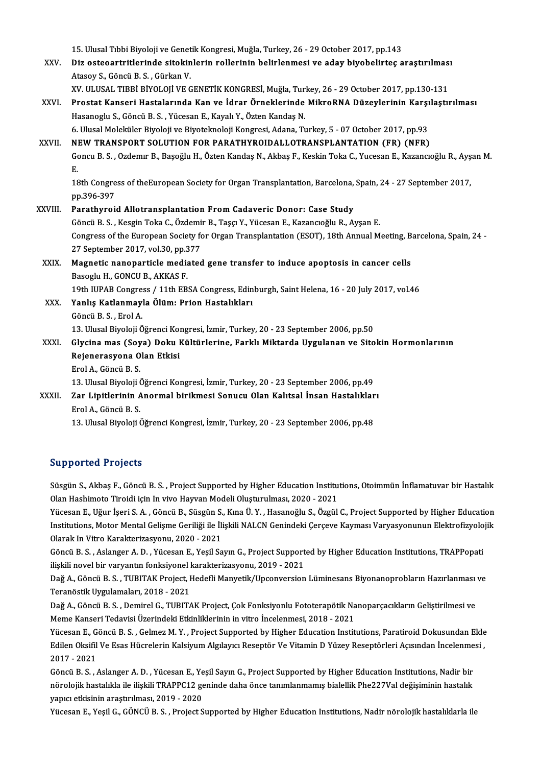15. Ulusal Tıbbi Biyoloji ve Genetik Kongresi, Muğla, Turkey, 26 - 29 October 2017, pp.143<br>Diz ostasantuitlarinde sitekinlerin nallarinin belirlenmesi ve adav biyobelirtes s

15. Ulusal Tıbbi Biyoloji ve Genetik Kongresi, Muğla, Turkey, 26 - 29 October 2017, pp.143<br>XXV. Diz osteoartritlerinde sitokinlerin rollerinin belirlenmesi ve aday biyobelirteç araştırılması<br>Atesey S. Göngü B. S. Gürke 15. Ulusal Tıbbi Biyoloji ve Genet<br>Diz osteoartritlerinde sitokin<br>Atasoy S., Göncü B. S. , Gürkan V.<br>YV. ULUSAL TIPPİ PİYOLOU VE G Diz osteoartritlerinde sitokinlerin rollerinin belirlenmesi ve aday biyobelirteç araştırılmas<br>Atasoy S., Göncü B. S. , Gürkan V.<br>XV. ULUSAL TIBBİ BİYOLOJİ VE GENETİK KONGRESİ, Muğla, Turkey, 26 - 29 October 2017, pp.130-13 Atasoy S., Göncü B. S. , Gürkan V.<br>XV. ULUSAL TIBBİ BİYOLOJİ VE GENETİK KONGRESİ, Muğla, Turkey, 26 - 29 October 2017, pp.130-131<br>XXVI. Prostat Kanseri Hastalarında Kan ve İdrar Örneklerinde MikroRNA Düzeylerinin Karşı

XV. ULUSAL TIBBİ BİYOLOJİ VE GENETİK KONGRESİ, Muğla, Turkey, 26 - 29 October 2017, pp.130-131<br>Prostat Kanseri Hastalarında Kan ve İdrar Örneklerinde MikroRNA Düzeylerinin Karşılaştı<br>Hasanoglu S., Göncü B. S. , Yücesan E., Prostat Kanseri Hastalarında Kan ve İdrar Örneklerinde MikroRNA Düzeylerinin Karşı<br>Hasanoglu S., Göncü B. S. , Yücesan E., Kayalı Y., Özten Kandaş N.<br>6. Ulusal Moleküler Biyoloji ve Biyoteknoloji Kongresi, Adana, Turkey, 5

### XXVII. NEW TRANSPORT SOLUTION FOR PARATHYROIDALLOTRANSPLANTATION (FR) (NFR) 6. Ulusal Moleküler Biyoloji ve Biyoteknoloji Kongresi, Adana, Turkey, 5 - 07 October 2017, pp.93<br>NEW TRANSPORT SOLUTION FOR PARATHYROIDALLOTRANSPLANTATION (FR) (NFR)<br>Goncu B. S. , Ozdemır B., Başoğlu H., Özten Kandaş N., N<br>Go<br>E. Goncu B. S. , Ozdemır B., Başoğlu H., Özten Kandaş N., Akbaş F., Keskin Toka C., Yucesan E., Kazancıoğlu R., Ayş<br>E.<br>18th Congress of theEuropean Society for Organ Transplantation, Barcelona, Spain, 24 - 27 September 2017,<br> E.<br>18th Congress of theEuropean Society for Organ Transplantation, Barcelona, Spain, 24 - 27 September 2017,<br>pp.396-397

XXVIII. Parathyroid Allotransplantation From Cadaveric Donor: Case Study pp.396-397<br>Parathyroid Allotransplantation From Cadaveric Donor: Case Study<br>Göncü B. S. , Kesgin Toka C., Özdemir B., Taşçı Y., Yücesan E., Kazancıoğlu R., Ayşan E.<br>Congress of the European Society for Organ Transplantatio Congress of the European Society for Organ Transplantation (ESOT), 18th Annual Meeting, Barcelona, Spain, 24 -<br>27 September 2017, vol.30, pp.377 Göncü B. S. , Kesgin Toka C., Özdemi<br>Congress of the European Society fo<br>27 September 2017, vol.30, pp.377<br>Megnetia papapartiale mediated Congress of the European Society for Organ Transplantation (ESOT), 18th Annual Meeting, B<br>27 September 2017, vol.30, pp.377<br>XXIX. Magnetic nanoparticle mediated gene transfer to induce apoptosis in cancer cells<br>Basesiu H.

# 27 September 2017, vol.30, pp.3<br>Magnetic nanoparticle media<br>Basoglu H., GONCU B., AKKAS F.<br>10th UIDAP Congress / 11th FP. Magnetic nanoparticle mediated gene transfer to induce apoptosis in cancer cells<br>Basoglu H., GONCU B., AKKAS F.<br>19th IUPAB Congress / 11th EBSA Congress, Edinburgh, Saint Helena, 16 - 20 July 2017, vol.46<br>Yonlis Katlanmayl

Basoglu H., GONCU B., AKKAS F.<br>19th IUPAB Congress / 11th EBSA Congress, Edin<br>XXX. Yanlış Katlanmayla Ölüm: Prion Hastalıkları<br>Göncü B. S. , Erol A. 19th IUPAB Congre<br>**Yanlış Katlanmay**<br>Göncü B. S. , Erol A.<br>13. Hural Biyaloji Ö

13.UlusalBiyolojiÖğrenciKongresi, İzmir,Turkey,20 -23 September 2006,pp.50

### Göncü B. S. , Erol A.<br>13. Ulusal Biyoloji Öğrenci Kongresi, İzmir, Turkey, 20 - 23 September 2006, pp.50<br>XXXI. Glycina mas (Soya) Doku Kültürlerine, Farklı Miktarda Uygulanan ve Sitokin Hormonlarının<br>Rajanarasyana Olan 13. Ulusal Biyoloji Öğrenci Kol<br>Glycina mas (Soya) Doku I<br>Rejenerasyona Olan Etkisi<br><sup>Erol A</sup> Göngü B S Glycina mas (Soy<br>Rejenerasyona O<br>Erol A., Göncü B. S.<br>12. Ulusal Biyoloji ( Rejenerasyona Olan Etkisi<br>Erol A., Göncü B. S.<br>13. Ulusal Biyoloji Öğrenci Kongresi, İzmir, Turkey, 20 - 23 September 2006, pp.49<br>Zar Linitlerinin Anermal birilmesi Senusu Olan Kelitsel İnsan Hastalıklar

## Erol A., Göncü B. S.<br>13. Ulusal Biyoloji Öğrenci Kongresi, İzmir, Turkey, 20 - 23 September 2006, pp.49<br>XXXII. Zar Lipitlerinin Anormal birikmesi Sonucu Olan Kalıtsal İnsan Hastalıkları<br>Erol A., Göncü B. S. 13. Ulusal Biyoloji (<br>Zar Lipitlerinin A<br>Erol A., Göncü B. S.<br>13. Ulusal Biyoloji (

13. Ulusal Biyoloji Öğrenci Kongresi, İzmir, Turkey, 20 - 23 September 2006, pp.48

### Supported Projects

Supported Projects<br>Süsgün S., Akbaş F., Göncü B. S. , Project Supported by Higher Education Institutions, Otoimmün İnflamatuvar bir Hastalık<br>Olan Hashimata Tiroidi isin In vive Hayvan Modeli Olyatumulması 2020, 2021 Oupportear I rojects<br>Süsgün S., Akbaş F., Göncü B. S. , Project Supported by Higher Education Institu<br>Olan Hashimoto Tiroidi için In vivo Hayvan Modeli Oluşturulması, 2020 - 2021<br>Vüssson E. Häun İsari S. A., Gönsü B., Süss Süsgün S., Akbaş F., Göncü B. S. , Project Supported by Higher Education Institutions, Otoimmün İnflamatuvar bir Hastalık<br>Olan Hashimoto Tiroidi için In vivo Hayvan Modeli Oluşturulması, 2020 - 2021<br>Yücesan E., Uğur İşeri

Olan Hashimoto Tiroidi için In vivo Hayvan Modeli Oluşturulması, 2020 - 2021<br>Yücesan E., Uğur İşeri S. A. , Göncü B., Süsgün S., Kına Ü. Y. , Hasanoğlu S., Özgül C., Project Supported by Higher Education<br>Institutions, Moto Yücesan E., Uğur İşeri S. A. , Göncü B., Süsgün S.<br>Institutions, Motor Mental Gelişme Geriliği ile İli<br>Olarak In Vitro Karakterizasyonu, 2020 - 2021<br>Göncü B. S., Aslansor A. D., Vüsesan E. Vesil Sa Institutions, Motor Mental Gelişme Geriliği ile İlişkili NALCN Genindeki Çerçeve Kayması Varyasyonunun Elektrofizyolo<br>Olarak In Vitro Karakterizasyonu, 2020 - 2021<br>Göncü B. S. , Aslanger A. D. , Yücesan E., Yeşil Sayın G.,

Olarak In Vitro Karakterizasyonu, 2020 - 2021<br>Göncü B. S. , Aslanger A. D. , Yücesan E., Yeşil Sayın G., Project Support<br>ilişkili novel bir varyantın fonksiyonel karakterizasyonu, 2019 - 2021<br>Değ A. Göncü B. S., TUBITAK Pr Göncü B. S. , Aslanger A. D. , Yücesan E., Yeşil Sayın G., Project Supported by Higher Education Institutions, TRAPPopati<br>ilişkili novel bir varyantın fonksiyonel karakterizasyonu, 2019 - 2021<br>Dağ A., Göncü B. S. , TUBITAK

ilişkili novel bir varyantın fonksiyonel I<br>Dağ A., Göncü B. S. , TUBITAK Project, I<br>Teranöstik Uygulamaları, 2018 - 2021<br>Pağ A. Göncü B. S. Demirel C. TUBITA Dağ A., Göncü B. S. , TUBITAK Project, Hedefli Manyetik/Upconversion Lüminesans Biyonanoprobların Hazırlanması<br>Teranöstik Uygulamaları, 2018 - 2021<br>Dağ A., Göncü B. S. , Demirel G., TUBITAK Project, Çok Fonksiyonlu Fototer

Teranöstik Uygulamaları, 2018 - 2021<br>Dağ A., Göncü B. S. , Demirel G., TUBITAK Project, Çok Fonksiyonlu Fototerapötik Nanoparçacıkların Geliştirilmesi ve<br>Meme Kanseri Tedavisi Üzerindeki Etkinliklerinin in vitro İncelenmes Dağ A., Göncü B. S. , Demirel G., TUBITAK Project, Çok Fonksiyonlu Fototerapötik Nanoparçacıkların Geliştirilmesi ve<br>Meme Kanseri Tedavisi Üzerindeki Etkinliklerinin in vitro İncelenmesi, 2018 - 2021<br>Yücesan E., Göncü B. S

Meme Kanseri Tedavisi Üzerindeki Etkinliklerinin in vitro İncelenmesi, 2018 - 2021<br>Yücesan E., Göncü B. S. , Gelmez M. Y. , Project Supported by Higher Education Institutions, Paratiroid Dokusundan Elde<br>Edilen Oksifil Ve E Yücesan E., G<br>Edilen Oksifil<br>2017 - 2021<br>Cöngü B. S Edilen Oksifil Ve Esas Hücrelerin Kalsiyum Algılayıcı Reseptör Ve Vitamin D Yüzey Reseptörleri Açısından İncelenmesi ,<br>2017 - 2021<br>Göncü B. S. , Aslanger A. D. , Yücesan E., Yeşil Sayın G., Project Supported by Higher Educ

2017 - 2021<br>Göncü B. S. , Aslanger A. D. , Yücesan E., Yeşil Sayın G., Project Supported by Higher Education Institutions, Nadir bir<br>nörolojik hastalıkla ile ilişkili TRAPPC12 geninde daha önce tanımlanmamış bialellik Phe2 Göncü B. S. , Aslanger A. D. , Yücesan E., Ye<br>nörolojik hastalıkla ile ilişkili TRAPPC12 ge<br>yapıcı etkisinin araştırılması, 2019 - 2020<br><sup>Yücesan E. Vesil G. GÖNCÜ B. S.</sup> Prejest S nörolojik hastalıkla ile ilişkili TRAPPC12 geninde daha önce tanımlanmamış bialellik Phe227Val değişiminin hastalık<br>yapıcı etkisinin araştırılması, 2019 - 2020<br>Yücesan E., Yeşil G., GÖNCÜ B. S. , Project Supported by Highe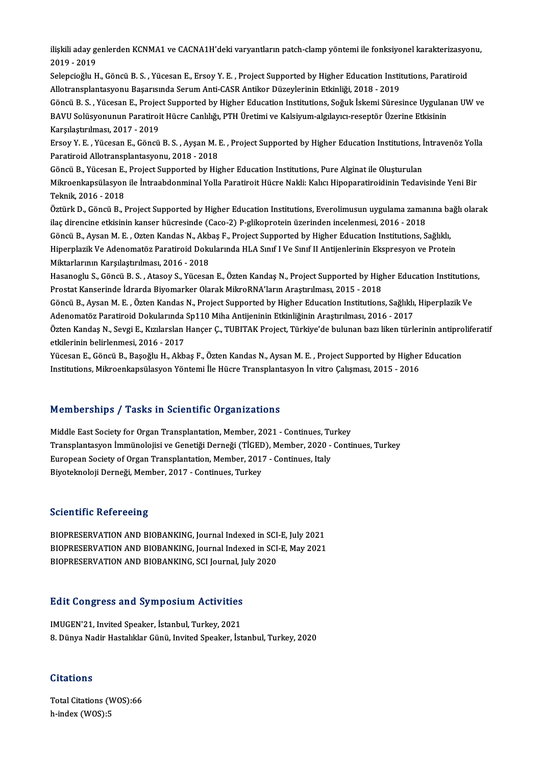ilişkili aday genlerden KCNMA1 ve CACNA1H'deki varyantların patch-clamp yöntemi ile fonksiyonel karakterizasyonu,<br>2019, 2019 ilişkili aday ge<br>2019 - 2019<br>Selengiağlu H ilişkili aday genlerden KCNMA1 ve CACNA1H'deki varyantların patch-clamp yöntemi ile fonksiyonel karakterizasyo<br>2019 - 2019<br>Selepcioğlu H., Göncü B.S. , Yücesan E., Ersoy Y. E. , Project Supported by Higher Education Instit

2019 - 2019<br>Selepcioğlu H., Göncü B. S. , Yücesan E., Ersoy Y. E. , Project Supported by Higher Education Institutions, Paratiroid<br>Allotransplantasyonu Başarısında Serum Anti-CASR Antikor Düzeylerinin Etkinliği, 2018 - 201 Selepcioğlu H., Göncü B. S. , Yücesan E., Ersoy Y. E. , Project Supported by Higher Education Institutions, Paratiroid<br>Allotransplantasyonu Başarısında Serum Anti-CASR Antikor Düzeylerinin Etkinliği, 2018 - 2019<br>Göncü B. S

Allotransplantasyonu Başarısında Serum Anti-CASR Antikor Düzeylerinin Etkinliği, 2018 - 2019<br>Göncü B. S. , Yücesan E., Project Supported by Higher Education Institutions, Soğuk İskemi Süresince Uygulan<br>BAVU Solüsyonunun Pa Göncü B. S. , Yücesan E., Projec<br>BAVU Solüsyonunun Paratiroi<br>Karşılaştırılması, 2017 - 2019<br>Frsov Y. E., Yücesan E., Göncü BAVU Solüsyonunun Paratiroit Hücre Canlılığı, PTH Üretimi ve Kalsiyum-algılayıcı-reseptör Üzerine Etkisinin<br>Karşılaştırılması, 2017 - 2019<br>Ersoy Y. E. , Yücesan E., Göncü B. S. , Ayşan M. E. , Project Supported by Higher E

Karşılaştırılması, 2017 - 2019<br>Ersoy Y. E. , Yücesan E., Göncü B. S. , Ayşan M. l<br>Paratiroid Allotransplantasyonu, 2018 - 2018<br>Cöncü B. Vücesan E. Preject Sunnerted bu His Ersoy Y. E. , Yücesan E., Göncü B. S. , Ayşan M. E. , Project Supported by Higher Education Institutions, İ<br>Paratiroid Allotransplantasyonu, 2018 - 2018<br>Göncü B., Yücesan E., Project Supported by Higher Education Instituti

Paratiroid Allotransplantasyonu, 2018 - 2018<br>Göncü B., Yücesan E., Project Supported by Higher Education Institutions, Pure Alginat ile Oluşturulan<br>Mikroenkapsülasyon ile İntraabdonminal Yolla Paratiroit Hücre Nakli: Kalıc Göncü B., Yücesan E., Project Supported by Higher Education Institutions, Pure Alginat ile Oluşturulan

Öztürk D., Göncü B., Project Supported by Higher Education Institutions, Everolimusun uygulama zamanına bağlı olarak Teknik, 2016 - 2018<br>Öztürk D., Göncü B., Project Supported by Higher Education Institutions, Everolimusun uygulama zamaı<br>ilaç direncine etkisinin kanser hücresinde (Caco-2) P-glikoprotein üzerinden incelenmesi, 2016 - 2018 Öztürk D., Göncü B., Project Supported by Higher Education Institutions, Everolimusun uygulama zamanına ba<br>ilaç direncine etkisinin kanser hücresinde (Caco-2) P-glikoprotein üzerinden incelenmesi, 2016 - 2018<br>Göncü B., Ays

Hiperplazik Ve Adenomatöz Paratiroid Dokularında HLA Sınıf I Ve Sınıf II Antijenlerinin Ekspresyon ve Protein<br>Miktarlarının Karşılaştırılması, 2016 - 2018 Göncü B., Aysan M. E., Ozten Kandas N., Akbaş F., Project Supported by Higher Education Institutions, Sağlıklı, Hiperplazik Ve Adenomatöz Paratiroid Dokularında HLA Sınıf I Ve Sınıf II Antijenlerinin Ekspresyon ve Protein<br>Miktarlarının Karşılaştırılması, 2016 - 2018<br>Hasanoglu S., Göncü B. S. , Atasoy S., Yücesan E., Özten Kandaş N.,

Miktarlarının Karşılaştırılması, 2016 - 2018<br>Hasanoglu S., Göncü B. S. , Atasoy S., Yücesan E., Özten Kandaş N., Project Supported by Higl<br>Prostat Kanserinde İdrarda Biyomarker Olarak MikroRNA'ların Araştırılması, 2015 - 2 Hasanoglu S., Göncü B. S. , Atasoy S., Yücesan E., Özten Kandaş N., Project Supported by Higher Education Institution<br>Prostat Kanserinde İdrarda Biyomarker Olarak MikroRNA'ların Araştırılması, 2015 - 2018<br>Göncü B., Aysan M

Prostat Kanserinde İdrarda Biyomarker Olarak MikroRNA'ların Araştırılması, 2015 - 2018<br>Göncü B., Aysan M. E. , Özten Kandas N., Project Supported by Higher Education Institutions, Sağlıklı,<br>Adenomatöz Paratiroid Dokularınd Göncü B., Aysan M. E. , Özten Kandas N., Project Supported by Higher Education Institutions, Sağlıklı, Hiperplazik Ve<br>Adenomatöz Paratiroid Dokularında Sp110 Miha Antijeninin Etkinliğinin Araştırılması, 2016 - 2017<br>Özten K

Adenomatöz Paratiroid Dokularında Sp110 Miha Antijeninin Etkinliğinin Araştırılması, 2016 - 2017<br>Özten Kandaş N., Sevgi E., Kızılarslan Hançer Ç., TUBITAK Project, Türkiye'de bulunan bazı liken türl<br>etkilerinin belirlenmes Özten Kandaş N., Sevgi E., Kızılarslan Hançer Ç., TUBITAK Project, Türkiye'de bulunan bazı liken türlerinin antiproliferatif<br>etkilerinin belirlenmesi, 2016 - 2017<br>Yücesan E., Göncü B., Başoğlu H., Akbaş F., Özten Kandas N.

Yücesan E., Göncü B., Başoğlu H., Akbaş F., Özten Kandas N., Aysan M. E., Project Supported by Higher Education

### Memberships / Tasks in Scientific Organizations

Memberships / Tasks in Scientific Organizations<br>Middle East Society for Organ Transplantation, Member, 2021 - Continues, Turkey<br>Transplantasyon Immünalajisi ve Constiži Derneži (TICED), Member, 2020, Conti Transportingo 7 Tablis in Scientinic Organizations<br>Middle East Society for Organ Transplantation, Member, 2021 - Continues, Turkey<br>Transplantasyon İmmünolojisi ve Genetiği Derneği (TİGED), Member, 2020 - Continues, Turkey<br> Middle East Society for Organ Transplantation, Member, 2021 - Continues, Tu<br>Transplantasyon İmmünolojisi ve Genetiği Derneği (TİGED), Member, 2020 -<br>European Society of Organ Transplantation, Member, 2017 - Continues, Ital Transplantasyon İmmünolojisi ve Genetiği Derneği (TİGED<br>European Society of Organ Transplantation, Member, 201'<br>Biyoteknoloji Derneği, Member, 2017 - Continues, Turkey Biyoteknoloji Derneği, Member, 2017 - Continues, Turkey<br>Scientific Refereeing

S<mark>cientific Refereeing</mark><br>BIOPRESERVATION AND BIOBANKING, Journal Indexed in SCI-E, July 2021<br>BIOPRESERVATION AND BIOPANKING Journal Indexed in SCI-E, May 2021 BIOPRESERVATION AND BIOBANKING, Journal Indexed in SCI-E, May 2021<br>BIOPRESERVATION AND BIOBANKING, SCI Journal, July 2020 BIOPRESERVATION AND BIOBANKING, Journal Indexed in SCI<br>BIOPRESERVATION AND BIOBANKING, Journal Indexed in SCI<br>BIOPRESERVATION AND BIOBANKING, SCI Journal, July 2020

# BIOPRESERVATION AND BIOBANKING, SCI JOUTHAL, JI<br>Edit Congress and Symposium Activities

Edit Congress and Symposium Activities<br>IMUGEN'21, Invited Speaker, İstanbul, Turkey, 2021<br>8. Dünye Nedir Hestallder Günü, İnvited Speaker, İst 1 IMUGEN'21, Invited Speaker, İstanbul, Turkey, 2021<br>8. Dünya Nadir Hastalıklar Günü, Invited Speaker, İstanbul, Turkey, 2020

### **Citations**

Citations<br>Total Citations (WOS):66<br>b.indox (WOS):5 h-index (WOS):5